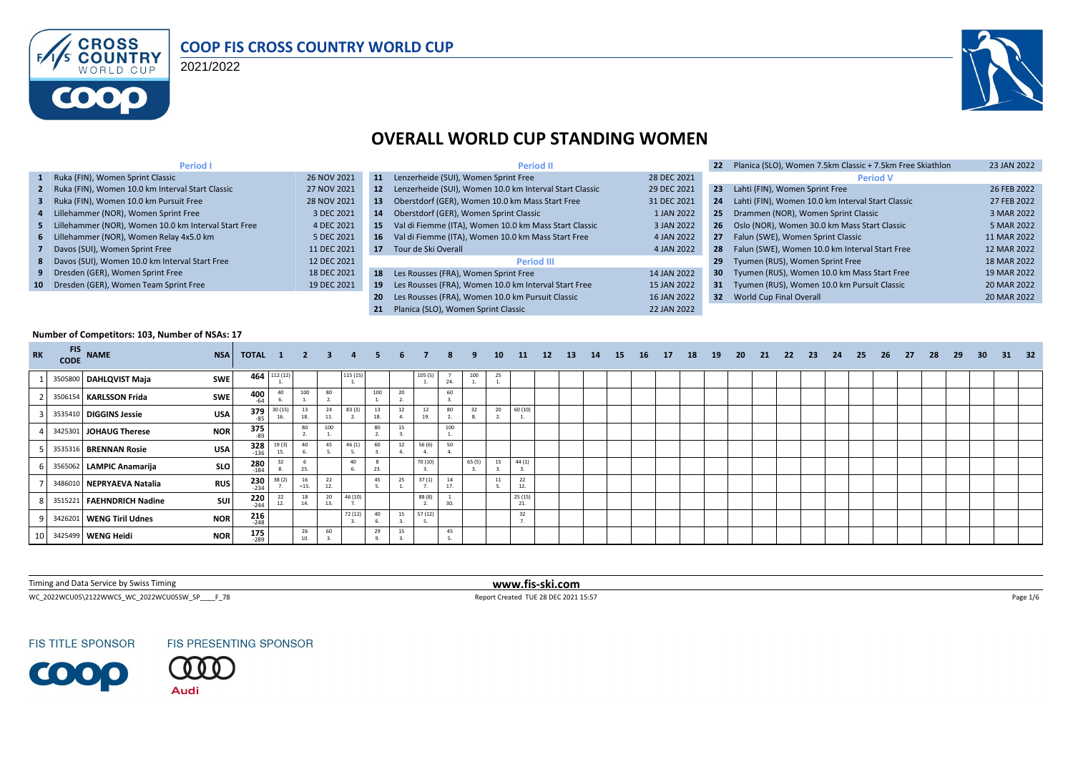

#### **COOP FIS CROSS COUNTRY WORLD CUP**

2021/2022



#### **OVERALL WORLD CUP STANDING WOMEN**

| <b>Period I</b>                                        |             |           | <b>Period II</b>                                        |             | Planica (SLO), Women 7.5km Classic + 7.5km Free Skiathlon | 23 JAN 2022 |
|--------------------------------------------------------|-------------|-----------|---------------------------------------------------------|-------------|-----------------------------------------------------------|-------------|
| 1 Ruka (FIN), Women Sprint Classic                     | 26 NOV 2021 | 11        | Lenzerheide (SUI), Women Sprint Free                    | 28 DEC 2021 | <b>Period V</b>                                           |             |
| 2 Ruka (FIN), Women 10.0 km Interval Start Classic     | 27 NOV 2021 | <b>12</b> | Lenzerheide (SUI), Women 10.0 km Interval Start Classic | 29 DEC 2021 | 23<br>Lahti (FIN), Women Sprint Free                      | 26 FEB 2022 |
| 3 Ruka (FIN), Women 10.0 km Pursuit Free               | 28 NOV 2021 | 13        | Oberstdorf (GER), Women 10.0 km Mass Start Free         | 31 DEC 2021 | Lahti (FIN), Women 10.0 km Interval Start Classic<br>24   | 27 FEB 2022 |
| 4 Lillehammer (NOR), Women Sprint Free                 | 3 DEC 2021  | 14        | Oberstdorf (GER), Women Sprint Classic                  | 1 JAN 2022  | Drammen (NOR), Women Sprint Classic<br>25                 | 3 MAR 2022  |
| 5 Lillehammer (NOR), Women 10.0 km Interval Start Free | 4 DEC 2021  | 15.       | Val di Fiemme (ITA), Women 10.0 km Mass Start Classic   | 3 JAN 2022  | Oslo (NOR), Women 30.0 km Mass Start Classic<br>26        | 5 MAR 2022  |
| 6 Lillehammer (NOR), Women Relay 4x5.0 km              | 5 DEC 2021  | 16        | Val di Fiemme (ITA), Women 10.0 km Mass Start Free      | 4 JAN 2022  | Falun (SWE), Women Sprint Classic<br>27                   | 11 MAR 2022 |
| 7 Davos (SUI), Women Sprint Free                       | 11 DEC 2021 | 17        | Tour de Ski Overall                                     | 4 JAN 2022  | Falun (SWE), Women 10.0 km Interval Start Free<br>28      | 12 MAR 2022 |
| 8 Davos (SUI), Women 10.0 km Interval Start Free       | 12 DEC 2021 |           | <b>Period III</b>                                       |             | Tyumen (RUS), Women Sprint Free<br>29                     | 18 MAR 2022 |
| 9 Dresden (GER), Women Sprint Free                     | 18 DEC 2021 | 18        | Les Rousses (FRA), Women Sprint Free                    | 14 JAN 2022 | 30 Tyumen (RUS), Women 10.0 km Mass Start Free            | 19 MAR 2022 |
| 10 Dresden (GER), Women Team Sprint Free               | 19 DEC 2021 | 19        | Les Rousses (FRA), Women 10.0 km Interval Start Free    | 15 JAN 2022 | Tyumen (RUS), Women 10.0 km Pursuit Classic<br>31         | 20 MAR 2022 |
|                                                        |             | 20        | Les Rousses (FRA), Women 10.0 km Pursuit Classic        | 16 JAN 2022 | World Cup Final Overall<br>32 <sub>2</sub>                | 20 MAR 2022 |
|                                                        |             |           | Planica (SLO). Women Sprint Classic                     | 22 JAN 2022 |                                                           |             |

#### **Number of Competitors: 103, Number of NSAs: 17**

| <b>RK</b> | <b>CODE</b> | FIS NAME                  | <b>NSA</b> | TOTAL 1              |               | 2 3          |           |         |     | 6. |          | 8        |        | 10 | - 11                 | 12 | <b>13</b> | 14 | 15 | 16 <sup>1</sup> | 17 | 18 | 19 | 20 | 21 | - 22 | - 23 | - 24 | 25 | 26 | - 27 | 28 | 29 | 30 <sup>°</sup> | - 31 | - 32 |
|-----------|-------------|---------------------------|------------|----------------------|---------------|--------------|-----------|---------|-----|----|----------|----------|--------|----|----------------------|----|-----------|----|----|-----------------|----|----|----|----|----|------|------|------|----|----|------|----|----|-----------------|------|------|
|           |             | 3505800 DAHLQVIST Maja    | <b>SWE</b> | 464                  | 112 (12)      |              |           | 115 (15 |     |    | 105(5)   | 24.      | 100    | 25 |                      |    |           |    |    |                 |    |    |    |    |    |      |      |      |    |    |      |    |    |                 |      |      |
|           |             | 3506154 KARLSSON Frida    | <b>SWE</b> | 400<br>$-64$         | 40            | 100          | 80        |         | 100 | 20 |          | 60       |        |    |                      |    |           |    |    |                 |    |    |    |    |    |      |      |      |    |    |      |    |    |                 |      |      |
|           |             | 3535410 DIGGINS Jessie    | <b>USA</b> | $379$ <sub>-85</sub> | 30(15)<br>16. | 13<br>18.    | 24        | 83 (3   | 18. | 12 | 12<br>19 | 80       | 32     | 20 | 60 (10)              |    |           |    |    |                 |    |    |    |    |    |      |      |      |    |    |      |    |    |                 |      |      |
|           |             | 3425301 JOHAUG Therese    | <b>NOR</b> | $375$ <sub>-89</sub> |               | 80           | 100       |         | 80  | 15 |          | 100      |        |    |                      |    |           |    |    |                 |    |    |    |    |    |      |      |      |    |    |      |    |    |                 |      |      |
|           |             | 3535316 BRENNAN Rosie     | <b>USA</b> | $328$<br>$-136$      | 19(3)<br>15.  | 40           | 45        | 46 (1   | 60  | 12 | 56 (6)   | 50       |        |    |                      |    |           |    |    |                 |    |    |    |    |    |      |      |      |    |    |      |    |    |                 |      |      |
|           |             | 3565062 LAMPIC Anamarija  | SLO        | $280$<br>$184$       |               | 25.          |           | 40      |     |    | 70 (10)  |          | 65 (5) | 15 | 44(1)                |    |           |    |    |                 |    |    |    |    |    |      |      |      |    |    |      |    |    |                 |      |      |
|           |             | 3486010 NEPRYAEVA Natalia | <b>RUS</b> | $230$<br>$-234$      | 38(2)         | 16<br>$=15.$ | 22<br>1.  |         | 45  | 25 | 37(1)    | 14<br>17 |        | 11 | 22<br>12.            |    |           |    |    |                 |    |    |    |    |    |      |      |      |    |    |      |    |    |                 |      |      |
|           |             | 3515221 FAEHNDRICH Nadine | suil       | $220$<br>$-244$      | 12.           | 18<br>14.    | 20<br>13. | 46 (10  |     |    | 88 (8)   | 30       |        |    | 25 (15)<br>21.       |    |           |    |    |                 |    |    |    |    |    |      |      |      |    |    |      |    |    |                 |      |      |
|           |             | 3426201 WENG Tiril Udnes  | <b>NOR</b> | $216$ <sub>248</sub> |               |              |           | 72 (12) | 40  | 15 | 57(12)   |          |        |    | 32<br>$\overline{z}$ |    |           |    |    |                 |    |    |    |    |    |      |      |      |    |    |      |    |    |                 |      |      |
|           |             | 10 3425499 WENG Heidi     | <b>NOR</b> | $\frac{175}{289}$    |               | 26<br>10.    | 60        |         | 29  | 15 |          | 45       |        |    |                      |    |           |    |    |                 |    |    |    |    |    |      |      |      |    |    |      |    |    |                 |      |      |

Timing and Data Service by Swiss Timing **www.fis-ski.com**

WC\_2022WCU05\2122WWCS\_WC\_2022WCU05SW\_SP\_\_\_\_F\_78 Page 1/6 Report Created TUE 28 DEC 2021 15:57 Page 1/6 Page 1/6

**FIS TITLE SPONSOR** 

**COOO** 



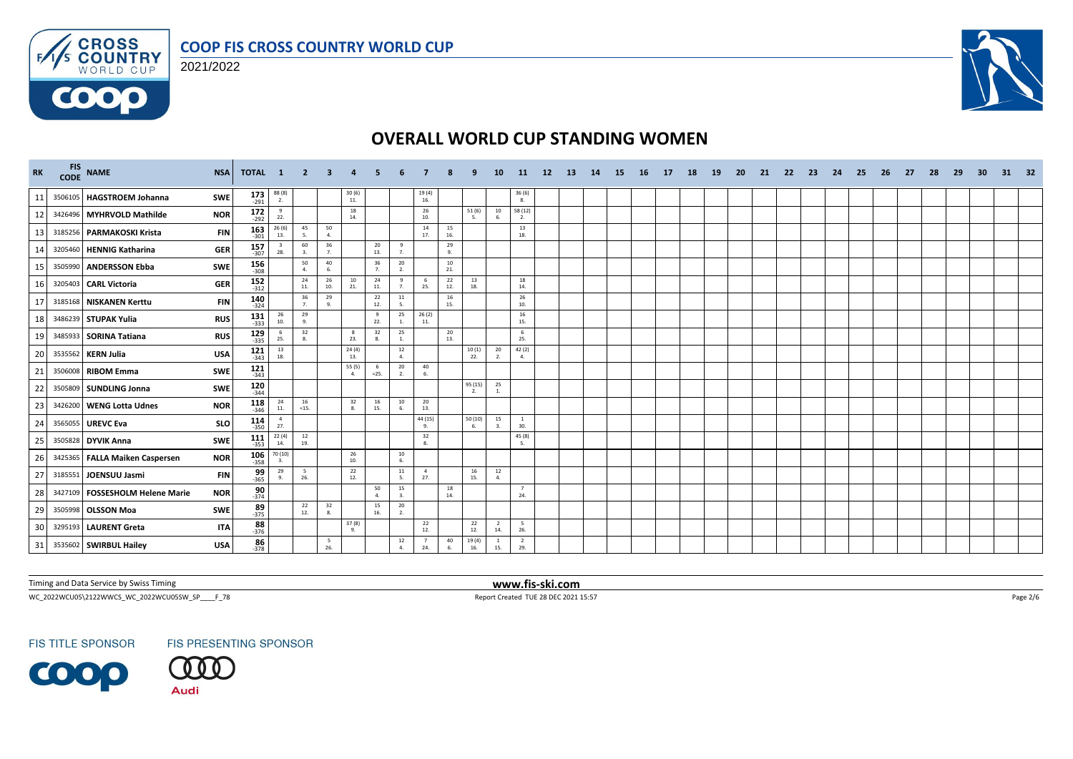



 $F/1/s$ 

0000



## **OVERALL WORLD CUP STANDING WOMEN**

| <b>RK</b> | <b>FIS</b><br><b>CODE</b> | <b>NAME</b>                       | <b>NSA</b> | TOTAL 1               |                                                         | $\overline{2}$ | 3          | 4                   |                      |                      |                       |           |              | 10                    | -11                                      | 12 <sup>2</sup> | <b>13</b> | 14 | <b>15</b> | 16 | 17 | 18 | <b>19</b> | <b>20</b> | 21 | -22 | 23 | 24 | 25 | 26 | 27 | 28 | 29 | 30 | 31 | -32 |
|-----------|---------------------------|-----------------------------------|------------|-----------------------|---------------------------------------------------------|----------------|------------|---------------------|----------------------|----------------------|-----------------------|-----------|--------------|-----------------------|------------------------------------------|-----------------|-----------|----|-----------|----|----|----|-----------|-----------|----|-----|----|----|----|----|----|----|----|----|----|-----|
| 11        |                           | 3506105 HAGSTROEM Johanna         | SWE        | $173$ <sub>-291</sub> | $\frac{88(8)}{2}$                                       |                |            | $\frac{30(6)}{11}$  |                      |                      | $19(4)$<br>$16.$      |           |              |                       | $\frac{36}{8}$                           |                 |           |    |           |    |    |    |           |           |    |     |    |    |    |    |    |    |    |    |    |     |
| 12        |                           | 3426496 MYHRVOLD Mathilde         | <b>NOR</b> | $172$<br>$292$        | $\frac{9}{22}$ .                                        |                |            | 18<br>14.           |                      |                      | 26<br>10.             |           | 51(6)        | 10                    | 58 (12)<br>2.                            |                 |           |    |           |    |    |    |           |           |    |     |    |    |    |    |    |    |    |    |    |     |
| 13        |                           | 3185256 PARMAKOSKI Krista         | <b>FIN</b> | $163$<br>$301$        | 26(6)<br>13.                                            | 45<br>5.       | 50<br>4.   |                     |                      |                      | 14<br>17.             | 15<br>16. |              |                       | 13<br>18.                                |                 |           |    |           |    |    |    |           |           |    |     |    |    |    |    |    |    |    |    |    |     |
| 14        | 3205460                   | <b>HENNIG Katharina</b>           | <b>GER</b> | $157$ <sub>307</sub>  | - 3<br>28.                                              | 60<br>3.       | 36<br>7.   |                     | 20<br>13.            | -9<br>7 <sub>1</sub> |                       | 29<br>9.  |              |                       |                                          |                 |           |    |           |    |    |    |           |           |    |     |    |    |    |    |    |    |    |    |    |     |
| 15        | 3505990                   | <b>ANDERSSON Ebba</b>             | <b>SWE</b> | $156 \atop -308$      |                                                         | 50<br>4.       | 40<br>6.   |                     | 36<br>$\overline{7}$ | 20<br>2.             |                       | 10<br>21. |              |                       |                                          |                 |           |    |           |    |    |    |           |           |    |     |    |    |    |    |    |    |    |    |    |     |
| 16        |                           | 3205403 CARL Victoria             | <b>GER</b> | 152<br>$-312$         |                                                         | 24<br>11.      | 26<br>10.  | 10<br>21.           | 24<br>11.            | 9<br>7.              | 6<br>25.              | 22<br>12. | 13<br>18.    |                       | 18<br>14.                                |                 |           |    |           |    |    |    |           |           |    |     |    |    |    |    |    |    |    |    |    |     |
| 17        |                           | 3185168 NISKANEN Kerttu           | <b>FIN</b> | $140$<br>$-324$       |                                                         | 36<br>7.       | 29<br>9.   |                     | 22<br>12.            | 11<br>5.             |                       | 16<br>15. |              |                       | $\begin{array}{c} 26 \\ 10. \end{array}$ |                 |           |    |           |    |    |    |           |           |    |     |    |    |    |    |    |    |    |    |    |     |
| 18        |                           | 3486239 STUPAK Yulia              | <b>RUS</b> | $131$ 333             | $\begin{array}{c} 26 \\ 10. \end{array}$                | 29<br>9.       |            |                     | -9<br>22.            | 25<br>1.             | 26(2)<br>11.          |           |              |                       | 16<br>15.                                |                 |           |    |           |    |    |    |           |           |    |     |    |    |    |    |    |    |    |    |    |     |
| 19        |                           | 3485933 SORINA Tatiana            | <b>RUS</b> | $129$ 335             | 6<br>25.                                                | 32<br>8.       |            | 8<br>23.            | 32<br>8.             | 25<br>1.             |                       | 20<br>13. |              |                       | 6<br>25.                                 |                 |           |    |           |    |    |    |           |           |    |     |    |    |    |    |    |    |    |    |    |     |
| 20        |                           | 3535562 KERN Julia                | <b>USA</b> | $121$ <sub>343</sub>  | $\begin{array}{c} 13 \\ 18. \end{array}$                |                |            | $24(4)$<br>13.      |                      | 12<br>4.             |                       |           | 10(1)<br>22. | 20<br>2.              | 42 (2)<br>4.                             |                 |           |    |           |    |    |    |           |           |    |     |    |    |    |    |    |    |    |    |    |     |
| 21        |                           | 3506008 RIBOM Emma                | SWE        | $121$ <sub>343</sub>  |                                                         |                |            | 55 (5)<br>4.        | $=25.$               | $20\degree$<br>2.    | 40<br>6.              |           |              |                       |                                          |                 |           |    |           |    |    |    |           |           |    |     |    |    |    |    |    |    |    |    |    |     |
| 22        |                           | 3505809 SUNDLING Jonna            | SWE        | $120$ <sub>344</sub>  |                                                         |                |            |                     |                      |                      |                       |           | 95 (15)      | 25<br>1.              |                                          |                 |           |    |           |    |    |    |           |           |    |     |    |    |    |    |    |    |    |    |    |     |
| 23        |                           | 3426200 WENG Lotta Udnes          | <b>NOR</b> | $118 \atop -346$      | 24<br>11.                                               | 16<br>$=15.$   |            | 32<br>8.            | 16<br>15.            | $10\,$<br>6.         | 20<br>13.             |           |              |                       |                                          |                 |           |    |           |    |    |    |           |           |    |     |    |    |    |    |    |    |    |    |    |     |
| 24        |                           | 3565055 UREVC Eva                 | <b>SLO</b> | $114$<br>350          | $\overline{4}$<br>27.                                   |                |            |                     |                      |                      | 44 (15)<br>9.         |           | 50(10)<br>6. | 15<br>3.              | $\overline{1}$<br>30.                    |                 |           |    |           |    |    |    |           |           |    |     |    |    |    |    |    |    |    |    |    |     |
| 25        |                           | 3505828 DYVIK Anna                | <b>SWE</b> | $111$<br>$-353$       | 22(4)<br>14.                                            | 12<br>19.      |            |                     |                      |                      | 32<br>8.              |           |              |                       | 45 (8)<br>5.                             |                 |           |    |           |    |    |    |           |           |    |     |    |    |    |    |    |    |    |    |    |     |
| 26        |                           | 3425365 FALLA Maiken Caspersen    | <b>NOR</b> | $106 - 358$           | $\begin{array}{c} 70\,(10)\\-\phantom{0}3. \end{array}$ |                |            | 26<br>10.           |                      | 10<br>6.             |                       |           |              |                       |                                          |                 |           |    |           |    |    |    |           |           |    |     |    |    |    |    |    |    |    |    |    |     |
| 27        |                           | 3185551 JOENSUU Jasmi             | <b>FIN</b> | $\frac{99}{365}$      | 29<br>9.                                                | 5<br>26.       |            | 22<br>12.           |                      | 11<br>5.             | $\overline{4}$<br>27. |           | 16<br>15.    | 12<br>$\overline{4}$  |                                          |                 |           |    |           |    |    |    |           |           |    |     |    |    |    |    |    |    |    |    |    |     |
| 28        |                           | 3427109   FOSSESHOLM Helene Marie | <b>NOR</b> | $\frac{90}{374}$      |                                                         |                |            |                     | 50<br>$\overline{a}$ | 15<br>3.             |                       | 18<br>14. |              |                       | 7<br>24.                                 |                 |           |    |           |    |    |    |           |           |    |     |    |    |    |    |    |    |    |    |    |     |
| 29        |                           | 3505998 OLSSON Moa                | SWE        | $89 - 375$            |                                                         | 22<br>12.      | 32<br>8.   |                     | 15<br>16.            | 20<br>2.             |                       |           |              |                       |                                          |                 |           |    |           |    |    |    |           |           |    |     |    |    |    |    |    |    |    |    |    |     |
| 30        |                           | 3295193 LAURENT Greta             | <b>ITA</b> | $88 - 376$            |                                                         |                |            | $\frac{37(8)}{9}$ . |                      |                      | 22<br>12.             |           | 22<br>12.    | $\overline{2}$<br>14. | 5<br>26.                                 |                 |           |    |           |    |    |    |           |           |    |     |    |    |    |    |    |    |    |    |    |     |
| 31        |                           | 3535602 SWIRBUL Hailey            | <b>USA</b> | 86<br>$-378$          |                                                         |                | - 5<br>26. |                     |                      | 12<br>$\Delta$       | $\overline{7}$<br>24. | 40        | 19(4)<br>16. | <sup>1</sup><br>15.   | $\overline{2}$<br>29.                    |                 |           |    |           |    |    |    |           |           |    |     |    |    |    |    |    |    |    |    |    |     |

Timing and Data Service by Swiss Timing **www.fis-ski.com**

WC\_2022WCU05\2122WWCS\_WC\_2022WCU05SW\_SP\_\_\_\_F\_78 Page 2/6 Report Created TUE 28 DEC 2021 15:57 Page 2/6 Page 2/6

**FIS TITLE SPONSOR** 



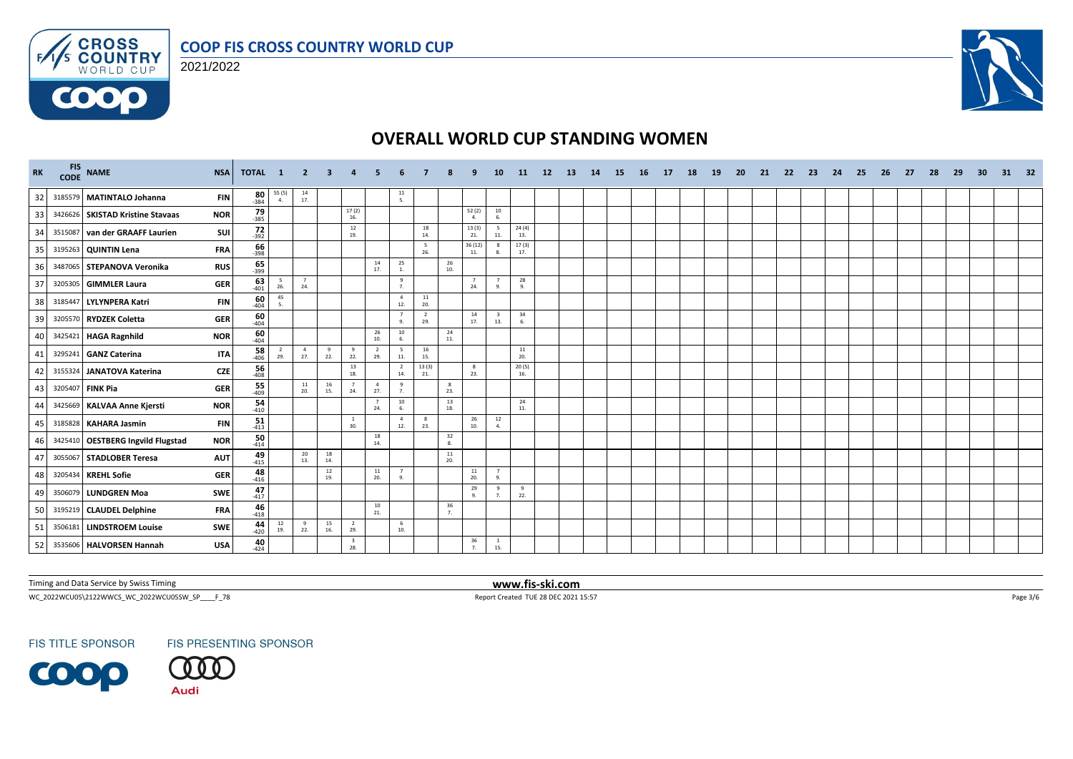



 $F/1/s$ 

0000



## **OVERALL WORLD CUP STANDING WOMEN**

| RK |         | FIS NAME                          | <b>NSA</b><br><b>TOTAL</b>        | $\mathbf{1}$          | -2                    | 3         |                                |                       |                                         |                       |                                          |                      | 10                             | 11           | 12 <sup>2</sup> | 13 | 14 | 15 | 16 | 17 | 18 | 19 | <b>20</b> | 21 | 22 | 23 | 24 | 25 | 26 | 27 | 28 | 29 | 30 | 31 | -32 |
|----|---------|-----------------------------------|-----------------------------------|-----------------------|-----------------------|-----------|--------------------------------|-----------------------|-----------------------------------------|-----------------------|------------------------------------------|----------------------|--------------------------------|--------------|-----------------|----|----|----|----|----|----|----|-----------|----|----|----|----|----|----|----|----|----|----|----|-----|
| 32 |         | 3185579 MATINTALO Johanna         | $\frac{80}{384}$<br><b>FIN</b>    | 55 (5)<br>4.          | $\frac{14}{17}$       |           |                                |                       | $\begin{array}{c} 11 \\ 5. \end{array}$ |                       |                                          |                      |                                |              |                 |    |    |    |    |    |    |    |           |    |    |    |    |    |    |    |    |    |    |    |     |
| 33 |         | 3426626 SKISTAD Kristine Stavaas  | $79 - 385$<br><b>NOR</b>          |                       |                       |           | 17(2)<br>16.                   |                       |                                         |                       |                                          | 52(2)<br>4.          | $\frac{10}{6}$                 |              |                 |    |    |    |    |    |    |    |           |    |    |    |    |    |    |    |    |    |    |    |     |
| 34 | 3515087 | van der GRAAFF Laurien            | $72 - 392$<br>SUI                 |                       |                       |           | 12<br>19.                      |                       |                                         | 18<br>14.             |                                          | 13(3)<br>21.         | - 5<br>11.                     | 24(4)<br>13. |                 |    |    |    |    |    |    |    |           |    |    |    |    |    |    |    |    |    |    |    |     |
| 35 |         | 3195263 QUINTIN Lena              | $\frac{66}{398}$<br><b>FRA</b>    |                       |                       |           |                                |                       |                                         | 5<br>26.              |                                          | 36 (12)<br>11.       | -8<br>8.                       | 17(3)<br>17. |                 |    |    |    |    |    |    |    |           |    |    |    |    |    |    |    |    |    |    |    |     |
| 36 |         | 3487065 STEPANOVA Veronika        | $\frac{65}{399}$<br><b>RUS</b>    |                       |                       |           |                                | 14<br>17.             | 25<br>1.                                |                       | 26<br>10.                                |                      |                                |              |                 |    |    |    |    |    |    |    |           |    |    |    |    |    |    |    |    |    |    |    |     |
| 37 |         | 3205305 GIMMLER Laura             | $63$ <sub>401</sub><br><b>GER</b> | 5<br>26.              | $\overline{7}$<br>24. |           |                                |                       | 9<br>7.                                 |                       |                                          | 24.                  | 9.                             | 28<br>9.     |                 |    |    |    |    |    |    |    |           |    |    |    |    |    |    |    |    |    |    |    |     |
| 38 | 318544  | LYLYNPERA Katri                   | $\frac{60}{404}$<br><b>FIN</b>    | 45<br>5.              |                       |           |                                |                       | $\overline{4}$<br>12.                   | ${\bf 11}$<br>20.     |                                          |                      |                                |              |                 |    |    |    |    |    |    |    |           |    |    |    |    |    |    |    |    |    |    |    |     |
| 39 |         | 3205570 RYDZEK Coletta            | $\frac{60}{404}$<br><b>GER</b>    |                       |                       |           |                                |                       | $\overline{7}$<br>9.                    | $\overline{2}$<br>29. |                                          | 14<br>17.            | $\overline{\mathbf{3}}$<br>13. | 34<br>6.     |                 |    |    |    |    |    |    |    |           |    |    |    |    |    |    |    |    |    |    |    |     |
| 40 |         | 3425421 HAGA Ragnhild             | $\frac{60}{404}$<br><b>NOR</b>    |                       |                       |           |                                | 26<br>10.             | 10<br>6.                                |                       | 24<br>11.                                |                      |                                |              |                 |    |    |    |    |    |    |    |           |    |    |    |    |    |    |    |    |    |    |    |     |
| 41 | 3295241 | <b>GANZ Caterina</b>              | 58<br><b>ITA</b><br>$-406$        | $\overline{2}$<br>29. | 4<br>27.              | 9<br>22.  | 9<br>22.                       | $\overline{2}$<br>29. | $5\overline{5}$<br>11.                  | 16<br>15.             |                                          |                      |                                | 11<br>20.    |                 |    |    |    |    |    |    |    |           |    |    |    |    |    |    |    |    |    |    |    |     |
| 42 | 3155324 | JANATOVA Katerina                 | 56<br><b>CZE</b><br>$-408$        |                       |                       |           | 13<br>18.                      |                       | $\overline{2}$<br>14.                   | 13(3)<br>21.          |                                          | 8<br>23.             |                                | 20(5)<br>16. |                 |    |    |    |    |    |    |    |           |    |    |    |    |    |    |    |    |    |    |    |     |
| 43 |         | 3205407 FINK Pia                  | $\frac{55}{409}$<br><b>GER</b>    |                       | 11<br>20.             | 16<br>15. | $\overline{7}$<br>24.          | $\overline{4}$<br>27. | 9<br>7.                                 |                       | 8<br>23.                                 |                      |                                |              |                 |    |    |    |    |    |    |    |           |    |    |    |    |    |    |    |    |    |    |    |     |
| 44 |         | 3425669 KALVAA Anne Kjersti       | $\frac{54}{410}$<br><b>NOR</b>    |                       |                       |           |                                | $\overline{7}$<br>24. | $10\,$<br>6.                            |                       | $\begin{array}{c} 13 \\ 18. \end{array}$ |                      |                                | 24<br>11.    |                 |    |    |    |    |    |    |    |           |    |    |    |    |    |    |    |    |    |    |    |     |
| 45 |         | 3185828 KAHARA Jasmin             | $\frac{51}{413}$<br><b>FIN</b>    |                       |                       |           | $\overline{1}$<br>30.          |                       | $\overline{4}$<br>12.                   | 8<br>23.              |                                          | 26<br>10.            | 12<br>4.                       |              |                 |    |    |    |    |    |    |    |           |    |    |    |    |    |    |    |    |    |    |    |     |
| 46 |         | 3425410 OESTBERG Ingvild Flugstad | 50<br><b>NOR</b><br>$-414$        |                       |                       |           |                                | 18<br>14.             |                                         |                       | 32<br>8.                                 |                      |                                |              |                 |    |    |    |    |    |    |    |           |    |    |    |    |    |    |    |    |    |    |    |     |
| 47 | 305506  | <b>STADLOBER Teresa</b>           | $49 - 415$<br><b>AUT</b>          |                       | 20<br>13.             | 18<br>14. |                                |                       |                                         |                       | $\frac{11}{20}$                          |                      |                                |              |                 |    |    |    |    |    |    |    |           |    |    |    |    |    |    |    |    |    |    |    |     |
| 48 |         | 3205434 KREHL Sofie               | $48 - 416$<br><b>GER</b>          |                       |                       | 12<br>19. |                                | 11<br>20.             | $\overline{7}$<br>9.                    |                       |                                          | 11<br>20.            | $\overline{7}$<br>9.           |              |                 |    |    |    |    |    |    |    |           |    |    |    |    |    |    |    |    |    |    |    |     |
| 49 |         | 3506079 LUNDGREN Moa              | 47<br>SWE<br>$-417$               |                       |                       |           |                                |                       |                                         |                       |                                          | 29<br>$\mathbf{Q}$   | $^{9}$<br>7.                   | 9<br>22.     |                 |    |    |    |    |    |    |    |           |    |    |    |    |    |    |    |    |    |    |    |     |
| 50 |         | 3195219 CLAUDEL Delphine          | $\frac{46}{418}$<br><b>FRA</b>    |                       |                       |           |                                | $10\,$<br>21.         |                                         |                       | 36<br>7.                                 |                      |                                |              |                 |    |    |    |    |    |    |    |           |    |    |    |    |    |    |    |    |    |    |    |     |
| 51 |         | 3506181 LINDSTROEM Louise         | $44$<br>-420<br>SWE               | 12<br>19.             | 9<br>22.              | 15<br>16. | $\overline{2}$<br>29.          |                       | 6<br>10.                                |                       |                                          |                      |                                |              |                 |    |    |    |    |    |    |    |           |    |    |    |    |    |    |    |    |    |    |    |     |
| 52 |         | 3535606   HALVORSEN Hannah        | 40<br><b>USA</b><br>$-424$        |                       |                       |           | $\overline{\mathbf{3}}$<br>28. |                       |                                         |                       |                                          | 36<br>$\overline{7}$ | $\frac{1}{15}$                 |              |                 |    |    |    |    |    |    |    |           |    |    |    |    |    |    |    |    |    |    |    |     |

Timing and Data Service by Swiss Timing **www.fis-ski.com**

WC\_2022WCU05\2122WWCS\_WC\_2022WCU05SW\_SP\_\_\_\_F\_78 Page 3/6 Report Created TUE 28 DEC 2021 15:57 Page 3/6 Page 3/6

**FIS TITLE SPONSOR** 

**FIS PRESENTING SPONSOR** 

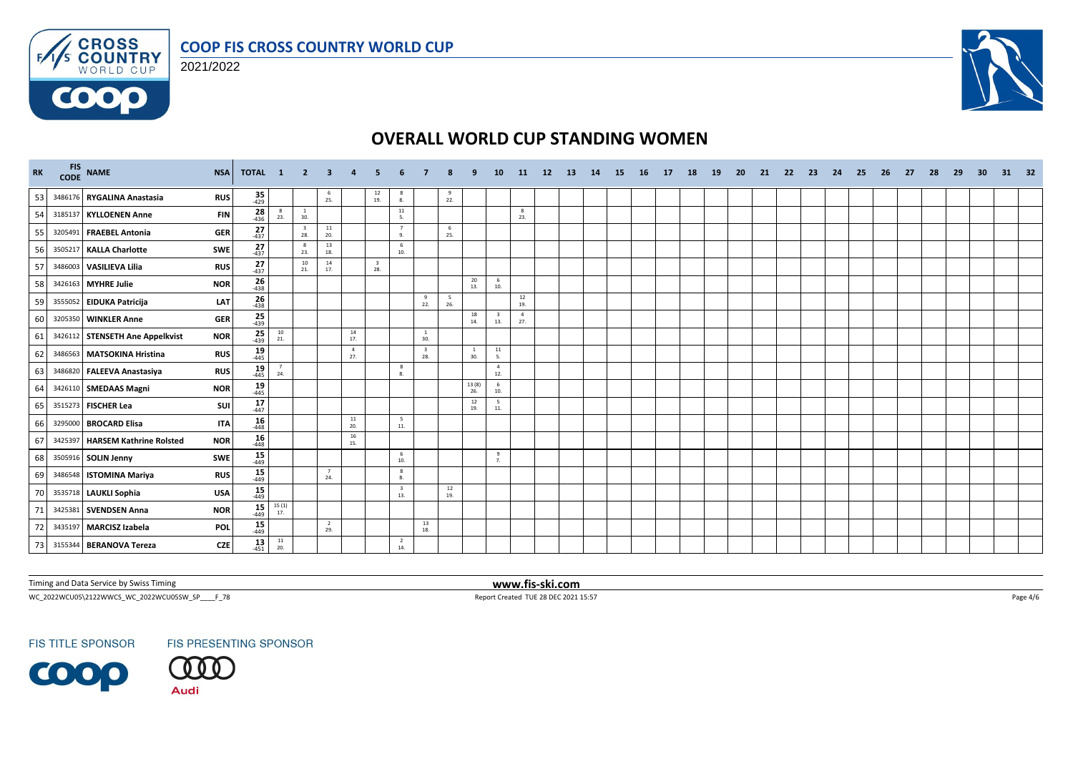



 $F/1/s$ 

6000



## **OVERALL WORLD CUP STANDING WOMEN**

| RK | FIS NAME<br><b>NSA</b>                        | <b>TOTAL</b>        | $\mathbf{1}$                             | - 2                            | 3                     |                       |                                |                                |                                |           |                     | <b>10</b>                               | <b>11</b>                                | 12 | <b>13</b> | <b>14</b> | <b>15</b> | 16 | 17 | 18 | <b>19</b> | <b>20</b> | 21 | 22 | 23 | 24 | 25 | 26 | 27 | 28 | 29 | 30 | 31 | - 32 |
|----|-----------------------------------------------|---------------------|------------------------------------------|--------------------------------|-----------------------|-----------------------|--------------------------------|--------------------------------|--------------------------------|-----------|---------------------|-----------------------------------------|------------------------------------------|----|-----------|-----------|-----------|----|----|----|-----------|-----------|----|----|----|----|----|----|----|----|----|----|----|------|
| 53 | 3486176 RYGALINA Anastasia<br><b>RUS</b>      | $35 - 429$          |                                          |                                | 6<br>25.              |                       | $\frac{12}{19}$                | -8<br>8.                       |                                | 9<br>22.  |                     |                                         |                                          |    |           |           |           |    |    |    |           |           |    |    |    |    |    |    |    |    |    |    |    |      |
| 54 | 3185137 KYLLOENEN Anne<br><b>FIN</b>          | $28 - 436$          | - 8<br>23.                               | $\frac{1}{30}$                 |                       |                       |                                | 11<br>5.                       |                                |           |                     |                                         | 8<br>23.                                 |    |           |           |           |    |    |    |           |           |    |    |    |    |    |    |    |    |    |    |    |      |
| 55 | 3205491 FRAEBEL Antonia<br><b>GER</b>         | $27_{437}$          |                                          | $\overline{\mathbf{3}}$<br>28. | 11<br>20.             |                       |                                | $\overline{7}$<br>9.           |                                | 6<br>25.  |                     |                                         |                                          |    |           |           |           |    |    |    |           |           |    |    |    |    |    |    |    |    |    |    |    |      |
| 56 | 3505217 KALLA Charlotte<br><b>SWE</b>         | $27$ <sub>437</sub> |                                          | $_{\rm 8}$<br>23.              | 13<br>18.             |                       |                                | 6<br>10.                       |                                |           |                     |                                         |                                          |    |           |           |           |    |    |    |           |           |    |    |    |    |    |    |    |    |    |    |    |      |
| 57 | 3486003 VASILIEVA Lilia<br><b>RUS</b>         | $27_{437}$          |                                          | 10<br>21.                      | 14<br>17.             |                       | $\overline{\mathbf{3}}$<br>28. |                                |                                |           |                     |                                         |                                          |    |           |           |           |    |    |    |           |           |    |    |    |    |    |    |    |    |    |    |    |      |
| 58 | 3426163 MYHRE Julie<br><b>NOR</b>             | $\frac{26}{438}$    |                                          |                                |                       |                       |                                |                                |                                |           | 20<br>13.           | 6<br>10.                                |                                          |    |           |           |           |    |    |    |           |           |    |    |    |    |    |    |    |    |    |    |    |      |
| 59 | 3555052 EIDUKA Patricija<br>LAT               | $26 - 438$          |                                          |                                |                       |                       |                                |                                | 9<br>22.                       | 5<br>26.  |                     |                                         | $\begin{array}{c} 12 \\ 19. \end{array}$ |    |           |           |           |    |    |    |           |           |    |    |    |    |    |    |    |    |    |    |    |      |
| 60 | 3205350 WINKLER Anne<br><b>GER</b>            | $\frac{25}{439}$    |                                          |                                |                       |                       |                                |                                |                                |           | 18<br>14.           | $\overline{\mathbf{3}}$<br>13.          | $\overline{4}$<br>27.                    |    |           |           |           |    |    |    |           |           |    |    |    |    |    |    |    |    |    |    |    |      |
| 61 | 3426112 STENSETH Ane Appelkvist<br><b>NOR</b> | $25$ <sub>439</sub> | $\begin{array}{c} 10 \\ 21. \end{array}$ |                                |                       | 14<br>17.             |                                |                                | <sup>1</sup><br>30.            |           |                     |                                         |                                          |    |           |           |           |    |    |    |           |           |    |    |    |    |    |    |    |    |    |    |    |      |
| 62 | 3486563 MATSOKINA Hristina<br><b>RUS</b>      | $19 - 445$          |                                          |                                |                       | $\overline{4}$<br>27. |                                |                                | $\overline{\mathbf{3}}$<br>28. |           | <sup>1</sup><br>30. | $\begin{array}{c} 11 \\ 5. \end{array}$ |                                          |    |           |           |           |    |    |    |           |           |    |    |    |    |    |    |    |    |    |    |    |      |
| 63 | 3486820 FALEEVA Anastasiya<br><b>RUS</b>      | $19 - 445$          | 24.                                      |                                |                       |                       |                                | 8<br>8.                        |                                |           |                     | $\overline{4}$<br>12.                   |                                          |    |           |           |           |    |    |    |           |           |    |    |    |    |    |    |    |    |    |    |    |      |
| 64 | 3426110 SMEDAAS Magni<br><b>NOR</b>           | $19 \atop -445$     |                                          |                                |                       |                       |                                |                                |                                |           | 13(8)<br>26.        | 6<br>10.                                |                                          |    |           |           |           |    |    |    |           |           |    |    |    |    |    |    |    |    |    |    |    |      |
| 65 | 3515273 FISCHER Lea<br>SUI                    | $\frac{17}{447}$    |                                          |                                |                       |                       |                                |                                |                                |           | 12<br>19.           | 5<br>11.                                |                                          |    |           |           |           |    |    |    |           |           |    |    |    |    |    |    |    |    |    |    |    |      |
| 66 | 3295000 BROCARD Elisa<br><b>ITA</b>           | $16 \over 448$      |                                          |                                |                       | 11<br>20.             |                                | 5<br>$11.$                     |                                |           |                     |                                         |                                          |    |           |           |           |    |    |    |           |           |    |    |    |    |    |    |    |    |    |    |    |      |
| 67 | 3425397 HARSEM Kathrine Rolsted<br><b>NOR</b> | $16 \over 448$      |                                          |                                |                       | 16<br>15.             |                                |                                |                                |           |                     |                                         |                                          |    |           |           |           |    |    |    |           |           |    |    |    |    |    |    |    |    |    |    |    |      |
| 68 | 3505916 SOLIN Jenny<br><b>SWE</b>             | $15$ <sub>449</sub> |                                          |                                |                       |                       |                                | 6<br>10.                       |                                |           |                     | 9<br>7.                                 |                                          |    |           |           |           |    |    |    |           |           |    |    |    |    |    |    |    |    |    |    |    |      |
| 69 | 3486548 ISTOMINA Mariya<br><b>RUS</b>         | $15$ <sub>449</sub> |                                          |                                | 24.                   |                       |                                | 8<br>8.                        |                                |           |                     |                                         |                                          |    |           |           |           |    |    |    |           |           |    |    |    |    |    |    |    |    |    |    |    |      |
| 70 | 3535718 LAUKLI Sophia<br><b>USA</b>           | $15 - 449$          |                                          |                                |                       |                       |                                | $\overline{\mathbf{3}}$<br>13. |                                | 12<br>19. |                     |                                         |                                          |    |           |           |           |    |    |    |           |           |    |    |    |    |    |    |    |    |    |    |    |      |
| 71 | 3425381 SVENDSEN Anna<br><b>NOR</b>           | 15<br>$-449$        | $\frac{15(1)}{17}$                       |                                |                       |                       |                                |                                |                                |           |                     |                                         |                                          |    |           |           |           |    |    |    |           |           |    |    |    |    |    |    |    |    |    |    |    |      |
| 72 | 3435197 MARCISZ Izabela<br>POL                | $15$ <sub>449</sub> |                                          |                                | $\overline{2}$<br>29. |                       |                                |                                | 13<br>18.                      |           |                     |                                         |                                          |    |           |           |           |    |    |    |           |           |    |    |    |    |    |    |    |    |    |    |    |      |
| 73 | 3155344 BERANOVA Tereza<br><b>CZE</b>         | $13 - 451$          | $\frac{11}{20}$                          |                                |                       |                       |                                | $\overline{2}$<br>14.          |                                |           |                     |                                         |                                          |    |           |           |           |    |    |    |           |           |    |    |    |    |    |    |    |    |    |    |    |      |

Timing and Data Service by Swiss Timing **www.fis-ski.com**

WC\_2022WCU05\2122WWCS\_WC\_2022WCU05SW\_SP\_\_\_\_F\_78 Page 4/6 Report Created TUE 28 DEC 2021 15:57 Page 4/6 Page 4/6

**FIS TITLE SPONSOR** 

**FIS PRESENTING SPONSOR** 

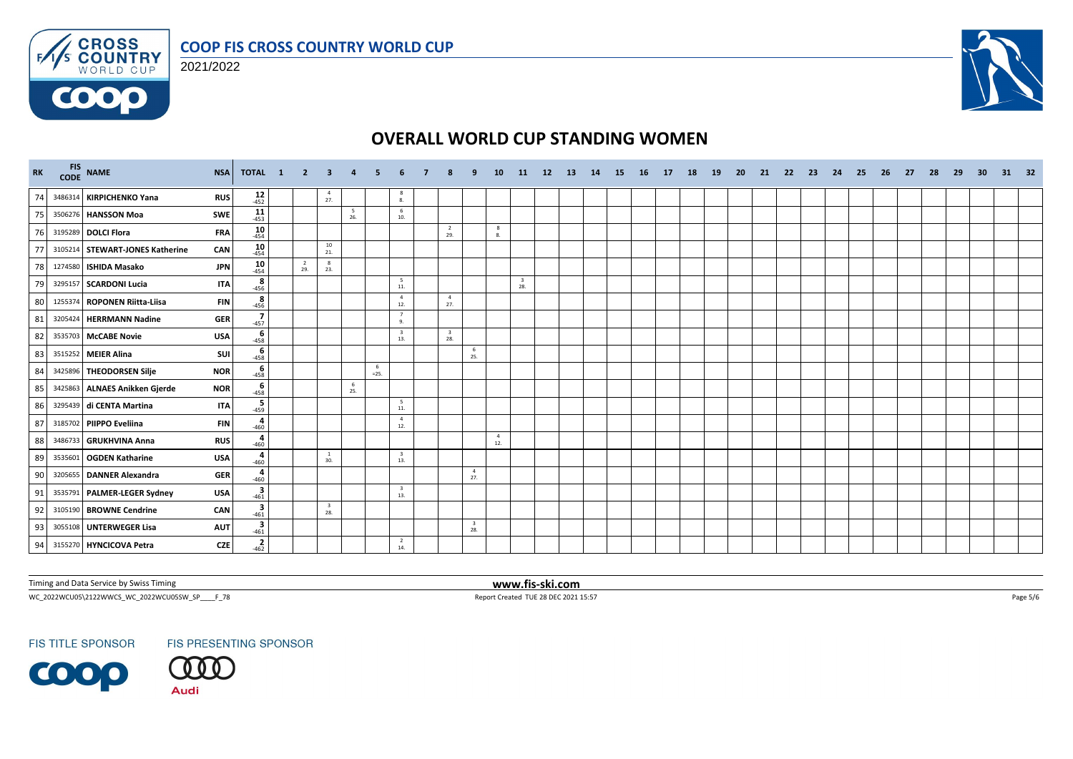





# **OVERALL WORLD CUP STANDING WOMEN**

| RK |         | FIS NAME                        | <b>NSA</b><br>TOTAL 1                | $\overline{\phantom{0}}$ 2 | -3                    | $\overline{4}$ |              |                                |                                |                                | 10                    | 11                             | 12 | <b>13</b> | 14 | - 15 | <b>16</b> | 17 | 18 | 19 | 20 | 21 | - 22 | - 23 | 24 | - 25 | 26 | -27 | -28 | -29 | 30 | 31 | - 32 |
|----|---------|---------------------------------|--------------------------------------|----------------------------|-----------------------|----------------|--------------|--------------------------------|--------------------------------|--------------------------------|-----------------------|--------------------------------|----|-----------|----|------|-----------|----|----|----|----|----|------|------|----|------|----|-----|-----|-----|----|----|------|
| 74 |         | 3486314 KIRPICHENKO Yana        | $12 - 452$<br><b>RUS</b>             |                            | $\overline{4}$<br>27. |                |              | -8<br>8.                       |                                |                                |                       |                                |    |           |    |      |           |    |    |    |    |    |      |      |    |      |    |     |     |     |    |    |      |
| 75 |         | 3506276 HANSSON Moa             | $11$<br>-453<br>SWE                  |                            |                       | - 5<br>26.     |              | 6<br>10.                       |                                |                                |                       |                                |    |           |    |      |           |    |    |    |    |    |      |      |    |      |    |     |     |     |    |    |      |
| 76 |         | 3195289 DOLCI Flora             | 10<br><b>FRA</b><br>$-454$           |                            |                       |                |              |                                | $\overline{2}$<br>29.          |                                | 8<br>8.               |                                |    |           |    |      |           |    |    |    |    |    |      |      |    |      |    |     |     |     |    |    |      |
| 77 |         | 3105214 STEWART-JONES Katherine | 10<br>CAN<br>$-454$                  |                            | 10<br>21.             |                |              |                                |                                |                                |                       |                                |    |           |    |      |           |    |    |    |    |    |      |      |    |      |    |     |     |     |    |    |      |
| 78 |         | 1274580 ISHIDA Masako           | $10 - 454$<br><b>JPN</b>             | $\overline{2}$<br>29.      | 8<br>23.              |                |              |                                |                                |                                |                       |                                |    |           |    |      |           |    |    |    |    |    |      |      |    |      |    |     |     |     |    |    |      |
| 79 |         | 3295157 SCARDONI Lucia          | $\overline{8}$<br>-456<br><b>ITA</b> |                            |                       |                |              | $5\overline{5}$<br>$11.$       |                                |                                |                       | $\overline{\mathbf{3}}$<br>28. |    |           |    |      |           |    |    |    |    |    |      |      |    |      |    |     |     |     |    |    |      |
| 80 | 1255374 | <b>ROPONEN Riitta-Liisa</b>     | $rac{8}{456}$<br><b>FIN</b>          |                            |                       |                |              | $\overline{4}$<br>12.          | $\overline{4}$<br>27.          |                                |                       |                                |    |           |    |      |           |    |    |    |    |    |      |      |    |      |    |     |     |     |    |    |      |
| 81 |         | 3205424 HERRMANN Nadine         | $\frac{7}{-457}$<br><b>GER</b>       |                            |                       |                |              | 7<br>9.                        |                                |                                |                       |                                |    |           |    |      |           |    |    |    |    |    |      |      |    |      |    |     |     |     |    |    |      |
| 82 |         | 3535703 McCABE Novie            | 6<br><b>USA</b><br>$-458$            |                            |                       |                |              | $\overline{\mathbf{3}}$<br>13. | $\overline{\mathbf{3}}$<br>28. |                                |                       |                                |    |           |    |      |           |    |    |    |    |    |      |      |    |      |    |     |     |     |    |    |      |
| 83 |         | 3515252 MEIER Alina             | 6<br><b>SUI</b><br>$-458$            |                            |                       |                |              |                                |                                | 6<br>25.                       |                       |                                |    |           |    |      |           |    |    |    |    |    |      |      |    |      |    |     |     |     |    |    |      |
| 84 |         | 3425896 THEODORSEN Silje        | $-458$<br><b>NOR</b>                 |                            |                       |                | -6<br>$=25.$ |                                |                                |                                |                       |                                |    |           |    |      |           |    |    |    |    |    |      |      |    |      |    |     |     |     |    |    |      |
| 85 |         | 3425863 ALNAES Anikken Gjerde   | $-458$<br><b>NOR</b>                 |                            |                       | - 6<br>25.     |              |                                |                                |                                |                       |                                |    |           |    |      |           |    |    |    |    |    |      |      |    |      |    |     |     |     |    |    |      |
| 86 |         | 3295439 di CENTA Martina        | $-459$<br><b>ITA</b>                 |                            |                       |                |              | 5<br>$\bf 11.$                 |                                |                                |                       |                                |    |           |    |      |           |    |    |    |    |    |      |      |    |      |    |     |     |     |    |    |      |
| 87 |         | 3185702 PIIPPO Eveliina         | $rac{4}{460}$<br><b>FIN</b>          |                            |                       |                |              | $\overline{4}$<br>12.          |                                |                                |                       |                                |    |           |    |      |           |    |    |    |    |    |      |      |    |      |    |     |     |     |    |    |      |
| 88 |         | 3486733 GRUKHVINA Anna          | $rac{4}{1}$<br><b>RUS</b>            |                            |                       |                |              |                                |                                |                                | $\overline{4}$<br>12. |                                |    |           |    |      |           |    |    |    |    |    |      |      |    |      |    |     |     |     |    |    |      |
| 89 | 353560  | <b>OGDEN Katharine</b>          | 4<br><b>USA</b><br>$-460$            |                            | -1<br>30.             |                |              | $\overline{\mathbf{3}}$<br>13. |                                |                                |                       |                                |    |           |    |      |           |    |    |    |    |    |      |      |    |      |    |     |     |     |    |    |      |
| 90 |         | 3205655 DANNER Alexandra        | 460<br><b>GER</b>                    |                            |                       |                |              |                                |                                | $\overline{4}$<br>27.          |                       |                                |    |           |    |      |           |    |    |    |    |    |      |      |    |      |    |     |     |     |    |    |      |
| 91 |         | 3535791 PALMER-LEGER Sydney     | $3^{461}$<br><b>USA</b>              |                            |                       |                |              | $\overline{\mathbf{3}}$<br>13. |                                |                                |                       |                                |    |           |    |      |           |    |    |    |    |    |      |      |    |      |    |     |     |     |    |    |      |
| 92 |         | 3105190 BROWNE Cendrine         | $\frac{3}{-461}$<br>CAN              |                            | - 3<br>28.            |                |              |                                |                                |                                |                       |                                |    |           |    |      |           |    |    |    |    |    |      |      |    |      |    |     |     |     |    |    |      |
| 93 |         | 3055108 UNTERWEGER Lisa         | $\frac{3}{-461}$<br><b>AUT</b>       |                            |                       |                |              |                                |                                | $\overline{\mathbf{3}}$<br>28. |                       |                                |    |           |    |      |           |    |    |    |    |    |      |      |    |      |    |     |     |     |    |    |      |
| 94 |         | 3155270 HYNCICOVA Petra         | $\frac{2}{-462}$<br><b>CZE</b>       |                            |                       |                |              | $\overline{2}$<br>14.          |                                |                                |                       |                                |    |           |    |      |           |    |    |    |    |    |      |      |    |      |    |     |     |     |    |    |      |

Timing and Data Service by Swiss Timing **www.fis-ski.com**

WC\_2022WCU05\2122WWCS\_WC\_2022WCU05SW\_SP\_\_\_\_F\_78 Page 5/6 Report Created TUE 28 DEC 2021 15:57 Page 5/6 Page 5/6

**FIS TITLE SPONSOR** 

FIS PRESENTING SPONSOR